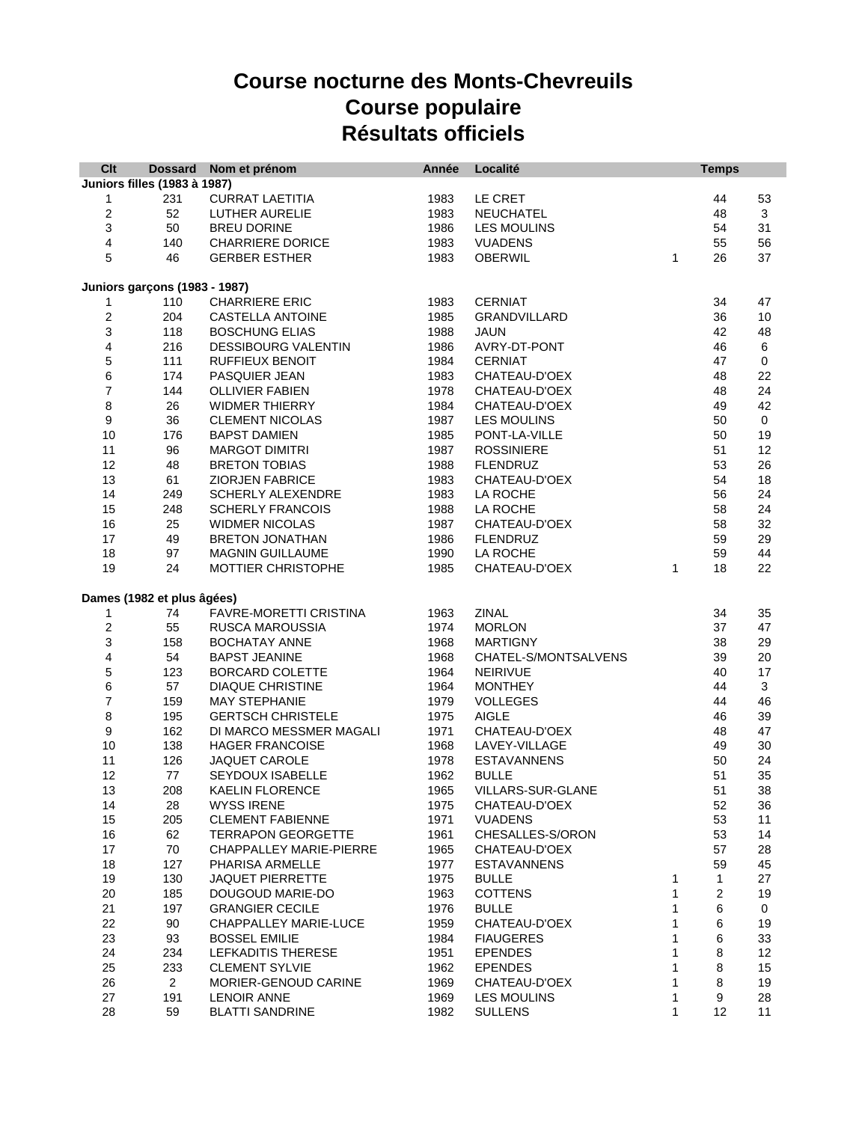## **Course nocturne des Monts-Chevreuils Course populaire Résultats officiels**

| Clt                                 |                                      | Dossard Nom et prénom          | Année | Localité             |   | <b>Temps</b>     |           |  |
|-------------------------------------|--------------------------------------|--------------------------------|-------|----------------------|---|------------------|-----------|--|
| <b>Juniors filles (1983 à 1987)</b> |                                      |                                |       |                      |   |                  |           |  |
| 1                                   | 231                                  | <b>CURRAT LAETITIA</b>         | 1983  | LE CRET              |   | 44               | 53        |  |
| $\boldsymbol{2}$                    | 52                                   | LUTHER AURELIE                 | 1983  | <b>NEUCHATEL</b>     |   | 48               | 3         |  |
| 3                                   | 50                                   | <b>BREU DORINE</b>             | 1986  | LES MOULINS          |   | 54               | 31        |  |
| 4                                   | 140                                  | <b>CHARRIERE DORICE</b>        | 1983  | <b>VUADENS</b>       |   | 55               | 56        |  |
| 5                                   | 46                                   | <b>GERBER ESTHER</b>           | 1983  | <b>OBERWIL</b>       | 1 | 26               | 37        |  |
|                                     |                                      |                                |       |                      |   |                  |           |  |
|                                     | <b>Juniors garçons (1983 - 1987)</b> |                                |       |                      |   |                  |           |  |
| 1                                   | 110                                  | CHARRIERE ERIC                 | 1983  | <b>CERNIAT</b>       |   | 34               | 47        |  |
| 2                                   | 204                                  | <b>CASTELLA ANTOINE</b>        | 1985  | <b>GRANDVILLARD</b>  |   | 36               | 10        |  |
| 3                                   | 118                                  | <b>BOSCHUNG ELIAS</b>          | 1988  | <b>JAUN</b>          |   | 42               | 48        |  |
| 4                                   | 216                                  | DESSIBOURG VALENTIN            | 1986  | AVRY-DT-PONT         |   | 46               | 6         |  |
| 5                                   | 111                                  | RUFFIEUX BENOIT                | 1984  | <b>CERNIAT</b>       |   | 47               | $\pmb{0}$ |  |
| 6                                   | 174                                  | PASQUIER JEAN                  | 1983  | CHATEAU-D'OEX        |   | 48               | 22        |  |
| 7                                   | 144                                  | <b>OLLIVIER FABIEN</b>         | 1978  | CHATEAU-D'OEX        |   | 48               | 24        |  |
| 8                                   | 26                                   | WIDMER THIERRY                 | 1984  | CHATEAU-D'OEX        |   | 49               | 42        |  |
| $\boldsymbol{9}$                    | 36                                   | <b>CLEMENT NICOLAS</b>         | 1987  | LES MOULINS          |   | 50               | 0         |  |
| 10                                  | 176                                  | <b>BAPST DAMIEN</b>            | 1985  | PONT-LA-VILLE        |   | 50               | 19        |  |
| 11                                  | 96                                   | <b>MARGOT DIMITRI</b>          | 1987  |                      |   |                  |           |  |
| 12                                  |                                      |                                |       | <b>ROSSINIERE</b>    |   | 51               | 12        |  |
|                                     | 48                                   | <b>BRETON TOBIAS</b>           | 1988  | <b>FLENDRUZ</b>      |   | 53               | 26        |  |
| 13                                  | 61                                   | <b>ZIORJEN FABRICE</b>         | 1983  | CHATEAU-D'OEX        |   | 54               | 18        |  |
| 14                                  | 249                                  | <b>SCHERLY ALEXENDRE</b>       | 1983  | LA ROCHE             |   | 56               | 24        |  |
| 15                                  | 248                                  | <b>SCHERLY FRANCOIS</b>        | 1988  | LA ROCHE             |   | 58               | 24        |  |
| 16                                  | 25                                   | <b>WIDMER NICOLAS</b>          | 1987  | CHATEAU-D'OEX        |   | 58               | 32        |  |
| 17                                  | 49                                   | BRETON JONATHAN                | 1986  | <b>FLENDRUZ</b>      |   | 59               | 29        |  |
| 18                                  | 97                                   | <b>MAGNIN GUILLAUME</b>        | 1990  | LA ROCHE             |   | 59               | 44        |  |
| 19                                  | 24                                   | MOTTIER CHRISTOPHE             | 1985  | CHATEAU-D'OEX        | 1 | 18               | 22        |  |
|                                     | Dames (1982 et plus âgées)           |                                |       |                      |   |                  |           |  |
| 1                                   | 74                                   | FAVRE-MORETTI CRISTINA         | 1963  | <b>ZINAL</b>         |   | 34               | 35        |  |
| 2                                   | 55                                   | RUSCA MAROUSSIA                | 1974  | <b>MORLON</b>        |   | 37               | 47        |  |
| 3                                   | 158                                  | <b>BOCHATAY ANNE</b>           | 1968  | <b>MARTIGNY</b>      |   | 38               | 29        |  |
| 4                                   | 54                                   | <b>BAPST JEANINE</b>           | 1968  | CHATEL-S/MONTSALVENS |   | 39               | 20        |  |
| 5                                   | 123                                  | BORCARD COLETTE                | 1964  | <b>NEIRIVUE</b>      |   | 40               | 17        |  |
| 6                                   | 57                                   | <b>DIAQUE CHRISTINE</b>        | 1964  | <b>MONTHEY</b>       |   | 44               | 3         |  |
| 7                                   | 159                                  | <b>MAY STEPHANIE</b>           | 1979  | <b>VOLLEGES</b>      |   | 44               | 46        |  |
| 8                                   | 195                                  | <b>GERTSCH CHRISTELE</b>       | 1975  | <b>AIGLE</b>         |   | 46               | 39        |  |
| 9                                   | 162                                  | DI MARCO MESSMER MAGALI        | 1971  | CHATEAU-D'OEX        |   | 48               | 47        |  |
| 10                                  |                                      |                                | 1968  | LAVEY-VILLAGE        |   | 49               |           |  |
|                                     | 138                                  | <b>HAGER FRANCOISE</b>         |       |                      |   |                  | 30        |  |
| 11                                  | 126                                  | JAQUET CAROLE                  | 1978  | <b>ESTAVANNENS</b>   |   | 50               | 24        |  |
| 12                                  | 77                                   | SEYDOUX ISABELLE               | 1962  | <b>BULLE</b>         |   | 51               | 35        |  |
| 13                                  | 208                                  | KAELIN FLORENCE                | 1965  | VILLARS-SUR-GLANE    |   | 51               | 38        |  |
| 14                                  | 28                                   | <b>WYSS IRENE</b>              | 1975  | CHATEAU-D'OEX        |   | 52               | 36        |  |
| 15                                  | 205                                  | <b>CLEMENT FABIENNE</b>        | 1971  | <b>VUADENS</b>       |   | 53               | 11        |  |
| 16                                  | 62                                   | <b>TERRAPON GEORGETTE</b>      | 1961  | CHESALLES-S/ORON     |   | 53               | 14        |  |
| 17                                  | 70                                   | <b>CHAPPALLEY MARIE-PIERRE</b> | 1965  | CHATEAU-D'OEX        |   | 57               | 28        |  |
| 18                                  | 127                                  | PHARISA ARMELLE                | 1977  | <b>ESTAVANNENS</b>   |   | 59               | 45        |  |
| 19                                  | 130                                  | <b>JAQUET PIERRETTE</b>        | 1975  | <b>BULLE</b>         | 1 | 1                | 27        |  |
| 20                                  | 185                                  | DOUGOUD MARIE-DO               | 1963  | <b>COTTENS</b>       | 1 | $\boldsymbol{2}$ | 19        |  |
| 21                                  | 197                                  | <b>GRANGIER CECILE</b>         | 1976  | <b>BULLE</b>         | 1 | 6                | 0         |  |
| 22                                  | 90                                   | CHAPPALLEY MARIE-LUCE          | 1959  | CHATEAU-D'OEX        | 1 | 6                | 19        |  |
| 23                                  | 93                                   | <b>BOSSEL EMILIE</b>           | 1984  | <b>FIAUGERES</b>     | 1 | 6                | 33        |  |
| 24                                  | 234                                  | LEFKADITIS THERESE             | 1951  | <b>EPENDES</b>       | 1 | 8                | 12        |  |
| 25                                  | 233                                  | <b>CLEMENT SYLVIE</b>          | 1962  | <b>EPENDES</b>       | 1 | 8                | 15        |  |
| 26                                  | $\overline{2}$                       | MORIER-GENOUD CARINE           | 1969  | CHATEAU-D'OEX        | 1 | 8                | 19        |  |
| 27                                  | 191                                  | <b>LENOIR ANNE</b>             | 1969  | LES MOULINS          | 1 | 9                | 28        |  |
| 28                                  | 59                                   | <b>BLATTI SANDRINE</b>         | 1982  | <b>SULLENS</b>       | 1 | 12               | 11        |  |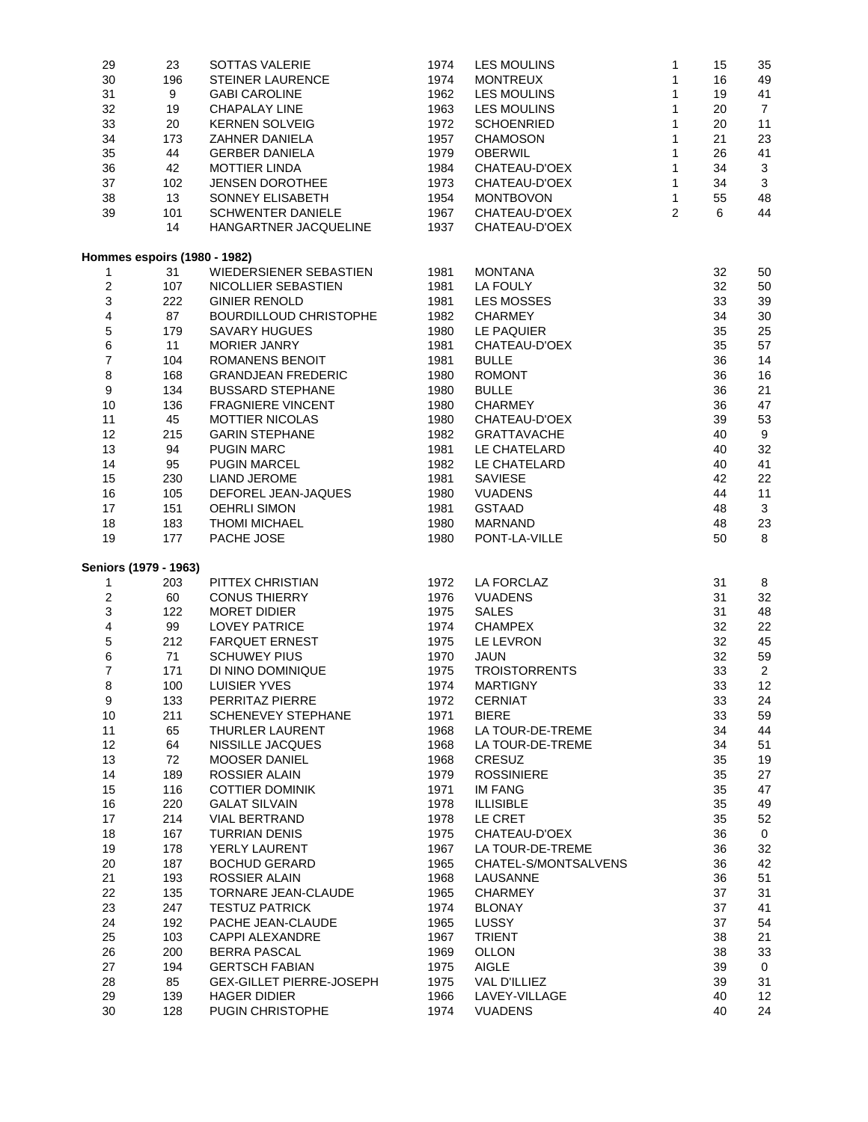| 29                           | 23  | SOTTAS VALERIE                  | 1974 | LES MOULINS          | 1            | 15 | 35             |
|------------------------------|-----|---------------------------------|------|----------------------|--------------|----|----------------|
| 30                           | 196 | <b>STEINER LAURENCE</b>         | 1974 | <b>MONTREUX</b>      | 1            | 16 | 49             |
| 31                           | 9   | <b>GABI CAROLINE</b>            | 1962 | <b>LES MOULINS</b>   | 1            | 19 | 41             |
| 32                           | 19  | <b>CHAPALAY LINE</b>            | 1963 | LES MOULINS          | 1            | 20 | $\overline{7}$ |
| 33                           | 20  | <b>KERNEN SOLVEIG</b>           | 1972 | <b>SCHOENRIED</b>    | 1            | 20 | 11             |
| 34                           | 173 | ZAHNER DANIELA                  | 1957 | <b>CHAMOSON</b>      | 1            | 21 | 23             |
|                              |     |                                 |      |                      | 1            |    |                |
| 35                           | 44  | <b>GERBER DANIELA</b>           | 1979 | <b>OBERWIL</b>       |              | 26 | 41             |
| 36                           | 42  | <b>MOTTIER LINDA</b>            | 1984 | CHATEAU-D'OEX        | 1            | 34 | 3              |
| 37                           | 102 | <b>JENSEN DOROTHEE</b>          | 1973 | CHATEAU-D'OEX        | 1            | 34 | 3              |
| 38                           | 13  | SONNEY ELISABETH                | 1954 | <b>MONTBOVON</b>     | $\mathbf{1}$ | 55 | 48             |
| 39                           | 101 | <b>SCHWENTER DANIELE</b>        | 1967 | CHATEAU-D'OEX        | 2            | 6  | 44             |
|                              | 14  | HANGARTNER JACQUELINE           | 1937 | CHATEAU-D'OEX        |              |    |                |
|                              |     |                                 |      |                      |              |    |                |
| Hommes espoirs (1980 - 1982) |     |                                 |      |                      |              |    |                |
| 1                            | 31  | WIEDERSIENER SEBASTIEN          | 1981 | <b>MONTANA</b>       |              | 32 | 50             |
| 2                            | 107 | NICOLLIER SEBASTIEN             | 1981 | LA FOULY             |              | 32 | 50             |
| 3                            | 222 | <b>GINIER RENOLD</b>            | 1981 | LES MOSSES           |              | 33 | 39             |
| 4                            | 87  | BOURDILLOUD CHRISTOPHE          | 1982 | <b>CHARMEY</b>       |              | 34 | 30             |
| 5                            | 179 | <b>SAVARY HUGUES</b>            | 1980 | LE PAQUIER           |              | 35 | 25             |
| 6                            | 11  | <b>MORIER JANRY</b>             | 1981 | CHATEAU-D'OEX        |              | 35 | 57             |
| $\overline{7}$               | 104 | <b>ROMANENS BENOIT</b>          | 1981 | <b>BULLE</b>         |              | 36 | 14             |
| 8                            | 168 | <b>GRANDJEAN FREDERIC</b>       | 1980 | <b>ROMONT</b>        |              | 36 | 16             |
| 9                            | 134 | <b>BUSSARD STEPHANE</b>         | 1980 | <b>BULLE</b>         |              | 36 | 21             |
| 10                           |     | <b>FRAGNIERE VINCENT</b>        | 1980 | <b>CHARMEY</b>       |              |    |                |
|                              | 136 |                                 |      |                      |              | 36 | 47             |
| 11                           | 45  | MOTTIER NICOLAS                 | 1980 | CHATEAU-D'OEX        |              | 39 | 53             |
| 12                           | 215 | <b>GARIN STEPHANE</b>           | 1982 | <b>GRATTAVACHE</b>   |              | 40 | 9              |
| 13                           | 94  | <b>PUGIN MARC</b>               | 1981 | LE CHATELARD         |              | 40 | 32             |
| 14                           | 95  | <b>PUGIN MARCEL</b>             | 1982 | LE CHATELARD         |              | 40 | 41             |
| 15                           | 230 | <b>LIAND JEROME</b>             | 1981 | <b>SAVIESE</b>       |              | 42 | 22             |
| 16                           | 105 | DEFOREL JEAN-JAQUES             | 1980 | <b>VUADENS</b>       |              | 44 | 11             |
| 17                           | 151 | <b>OEHRLI SIMON</b>             | 1981 | <b>GSTAAD</b>        |              | 48 | 3              |
| 18                           | 183 | <b>THOMI MICHAEL</b>            | 1980 | <b>MARNAND</b>       |              | 48 | 23             |
| 19                           | 177 | PACHE JOSE                      | 1980 | PONT-LA-VILLE        |              | 50 | 8              |
|                              |     |                                 |      |                      |              |    |                |
| Seniors (1979 - 1963)        |     |                                 |      |                      |              |    |                |
| 1                            | 203 | PITTEX CHRISTIAN                | 1972 | LA FORCLAZ           |              | 31 | 8              |
| 2                            | 60  | <b>CONUS THIERRY</b>            | 1976 | <b>VUADENS</b>       |              | 31 | 32             |
| 3                            | 122 | <b>MORET DIDIER</b>             | 1975 | <b>SALES</b>         |              | 31 | 48             |
| 4                            | 99  | <b>LOVEY PATRICE</b>            | 1974 | <b>CHAMPEX</b>       |              | 32 | 22             |
| 5                            | 212 | <b>FARQUET ERNEST</b>           | 1975 | LE LEVRON            |              | 32 | 45             |
| 6                            | 71  | <b>SCHUWEY PIUS</b>             | 1970 | JAUN                 |              | 32 | 59             |
| 7                            | 171 | DI NINO DOMINIQUE               | 1975 | <b>TROISTORRENTS</b> |              | 33 | $\overline{2}$ |
| 8                            | 100 |                                 | 1974 | <b>MARTIGNY</b>      |              | 33 | 12             |
|                              |     | <b>LUISIER YVES</b>             |      |                      |              |    |                |
| 9                            | 133 | PERRITAZ PIERRE                 | 1972 | <b>CERNIAT</b>       |              | 33 | 24             |
| 10                           | 211 | <b>SCHENEVEY STEPHANE</b>       | 1971 | <b>BIERE</b>         |              | 33 | 59             |
| 11                           | 65  | <b>THURLER LAURENT</b>          | 1968 | LA TOUR-DE-TREME     |              | 34 | 44             |
| 12                           | 64  | NISSILLE JACQUES                | 1968 | LA TOUR-DE-TREME     |              | 34 | 51             |
| 13                           | 72  | <b>MOOSER DANIEL</b>            | 1968 | CRESUZ               |              | 35 | 19             |
| 14                           | 189 | <b>ROSSIER ALAIN</b>            | 1979 | <b>ROSSINIERE</b>    |              | 35 | 27             |
| 15                           | 116 | <b>COTTIER DOMINIK</b>          | 1971 | <b>IM FANG</b>       |              | 35 | 47             |
| 16                           | 220 | <b>GALAT SILVAIN</b>            | 1978 | <b>ILLISIBLE</b>     |              | 35 | 49             |
| 17                           | 214 | <b>VIAL BERTRAND</b>            | 1978 | LE CRET              |              | 35 | 52             |
| 18                           | 167 | <b>TURRIAN DENIS</b>            | 1975 | CHATEAU-D'OEX        |              | 36 | $\mathbf 0$    |
| 19                           | 178 | YERLY LAURENT                   | 1967 | LA TOUR-DE-TREME     |              | 36 | 32             |
| 20                           | 187 | <b>BOCHUD GERARD</b>            | 1965 | CHATEL-S/MONTSALVENS |              | 36 | 42             |
|                              |     |                                 |      |                      |              |    |                |
| 21                           | 193 | <b>ROSSIER ALAIN</b>            | 1968 | LAUSANNE             |              | 36 | 51             |
| 22                           | 135 | <b>TORNARE JEAN-CLAUDE</b>      | 1965 | <b>CHARMEY</b>       |              | 37 | 31             |
| 23                           | 247 | <b>TESTUZ PATRICK</b>           | 1974 | <b>BLONAY</b>        |              | 37 | 41             |
| 24                           | 192 | PACHE JEAN-CLAUDE               | 1965 | <b>LUSSY</b>         |              | 37 | 54             |
| 25                           | 103 | CAPPI ALEXANDRE                 | 1967 | <b>TRIENT</b>        |              | 38 | 21             |
| 26                           | 200 | BERRA PASCAL                    | 1969 | OLLON                |              | 38 | 33             |
| 27                           | 194 | <b>GERTSCH FABIAN</b>           | 1975 | <b>AIGLE</b>         |              | 39 | 0              |
| 28                           | 85  | <b>GEX-GILLET PIERRE-JOSEPH</b> | 1975 | VAL D'ILLIEZ         |              | 39 | 31             |
| 29                           | 139 | <b>HAGER DIDIER</b>             | 1966 | LAVEY-VILLAGE        |              | 40 | 12             |
| 30                           | 128 | PUGIN CHRISTOPHE                | 1974 | <b>VUADENS</b>       |              | 40 | 24             |
|                              |     |                                 |      |                      |              |    |                |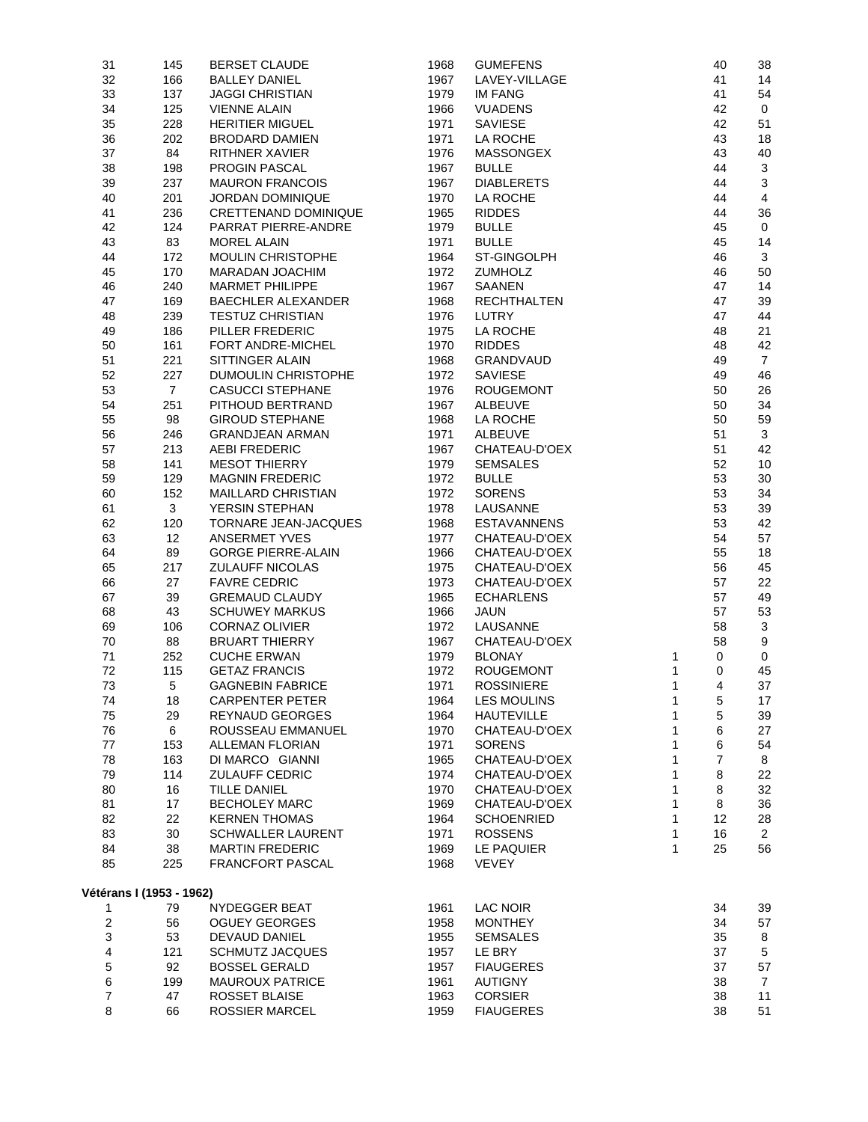| 31             | 145                      | <b>BERSET CLAUDE</b>                      | 1968 | <b>GUMEFENS</b>                |              | 40             | 38             |
|----------------|--------------------------|-------------------------------------------|------|--------------------------------|--------------|----------------|----------------|
| 32             | 166                      | <b>BALLEY DANIEL</b>                      | 1967 | LAVEY-VILLAGE                  |              | 41             | 14             |
| 33             | 137                      | <b>JAGGI CHRISTIAN</b>                    | 1979 | IM FANG                        |              | 41             | 54             |
| 34             | 125                      | <b>VIENNE ALAIN</b>                       | 1966 | <b>VUADENS</b>                 |              | 42             | $\mathbf 0$    |
| 35             | 228                      | <b>HERITIER MIGUEL</b>                    | 1971 | <b>SAVIESE</b>                 |              | 42             | 51             |
| 36             | 202                      | <b>BRODARD DAMIEN</b>                     | 1971 | LA ROCHE                       |              | 43             | 18             |
| 37             | 84                       | <b>RITHNER XAVIER</b>                     | 1976 | MASSONGEX                      |              | 43             | 40             |
| 38             | 198                      | PROGIN PASCAL                             | 1967 | <b>BULLE</b>                   |              | 44             | $\mathbf{3}$   |
| 39             | 237                      | <b>MAURON FRANCOIS</b>                    | 1967 | <b>DIABLERETS</b>              |              | 44             | $\mathbf 3$    |
| 40             | 201                      | JORDAN DOMINIQUE                          | 1970 | LA ROCHE                       |              | 44             | 4              |
| 41             | 236                      | CRETTENAND DOMINIQUE                      | 1965 | <b>RIDDES</b>                  |              | 44             | 36             |
| 42             | 124                      | PARRAT PIERRE-ANDRE                       | 1979 | <b>BULLE</b>                   |              | 45             | $\mathbf 0$    |
| 43             | 83                       | <b>MOREL ALAIN</b>                        | 1971 | <b>BULLE</b>                   |              | 45             | 14             |
| 44             | 172                      | MOULIN CHRISTOPHE                         | 1964 | ST-GINGOLPH                    |              | 46             | 3              |
| 45             | 170                      | MARADAN JOACHIM                           | 1972 | <b>ZUMHOLZ</b>                 |              | 46             | 50             |
| 46             | 240                      | <b>MARMET PHILIPPE</b>                    | 1967 | <b>SAANEN</b>                  |              | 47             | 14             |
| 47             | 169                      | <b>BAECHLER ALEXANDER</b>                 | 1968 | <b>RECHTHALTEN</b>             |              | 47             | 39             |
| 48             | 239                      | <b>TESTUZ CHRISTIAN</b>                   | 1976 | <b>LUTRY</b>                   |              | 47             | 44             |
| 49             | 186                      | PILLER FREDERIC                           | 1975 | LA ROCHE                       |              | 48             | 21             |
| 50             | 161                      | FORT ANDRE-MICHEL                         | 1970 | <b>RIDDES</b>                  |              | 48             | 42             |
| 51             | 221                      | SITTINGER ALAIN                           | 1968 | GRANDVAUD                      |              | 49             | $\overline{7}$ |
| 52             | 227                      | <b>DUMOULIN CHRISTOPHE</b>                | 1972 | <b>SAVIESE</b>                 |              | 49             | 46             |
| 53             | $\overline{7}$           | <b>CASUCCI STEPHANE</b>                   | 1976 | <b>ROUGEMONT</b>               |              | 50             | 26             |
| 54             | 251                      | PITHOUD BERTRAND                          | 1967 | <b>ALBEUVE</b>                 |              | 50             | 34             |
| 55             | 98                       | <b>GIROUD STEPHANE</b>                    | 1968 | LA ROCHE                       |              | 50             | 59             |
| 56             | 246                      | <b>GRANDJEAN ARMAN</b>                    | 1971 | ALBEUVE                        |              | 51             | 3              |
| 57             | 213                      | <b>AEBI FREDERIC</b>                      | 1967 | CHATEAU-D'OEX                  |              | 51             | 42             |
| 58             | 141                      | <b>MESOT THIERRY</b>                      | 1979 | <b>SEMSALES</b>                |              | 52             | 10             |
| 59             | 129                      | <b>MAGNIN FREDERIC</b>                    | 1972 | <b>BULLE</b>                   |              | 53             | 30             |
| 60             | 152                      | <b>MAILLARD CHRISTIAN</b>                 | 1972 | <b>SORENS</b>                  |              | 53             | 34             |
| 61             | 3                        | YERSIN STEPHAN                            | 1978 | LAUSANNE                       |              | 53             | 39             |
| 62             | 120                      | TORNARE JEAN-JACQUES                      | 1968 | <b>ESTAVANNENS</b>             |              | 53             | 42             |
| 63             | 12                       | <b>ANSERMET YVES</b>                      | 1977 | CHATEAU-D'OEX                  |              | 54             | 57             |
| 64             | 89                       | <b>GORGE PIERRE-ALAIN</b>                 | 1966 | CHATEAU-D'OEX                  |              | 55             | 18             |
| 65             | 217                      | ZULAUFF NICOLAS                           | 1975 | CHATEAU-D'OEX                  |              | 56             | 45             |
| 66             | 27                       | <b>FAVRE CEDRIC</b>                       | 1973 | CHATEAU-D'OEX                  |              | 57             | 22             |
| 67             | 39                       | <b>GREMAUD CLAUDY</b>                     | 1965 | <b>ECHARLENS</b>               |              | 57             | 49             |
| 68             | 43                       | <b>SCHUWEY MARKUS</b>                     | 1966 | <b>JAUN</b>                    |              | 57             | 53             |
| 69             | 106                      | CORNAZ OLIVIER                            | 1972 | LAUSANNE                       |              | 58             | 3              |
| 70             | 88                       | <b>BRUART THIERRY</b>                     | 1967 | CHATEAU-D'OEX                  |              | 58             | 9              |
| 71             | 252                      | <b>CUCHE ERWAN</b>                        | 1979 | <b>BLONAY</b>                  | 1            | 0              | $\mathbf 0$    |
| 72             | 115                      | <b>GETAZ FRANCIS</b>                      | 1972 | <b>ROUGEMONT</b>               | 1            | 0              | 45             |
| 73             | 5                        | <b>GAGNEBIN FABRICE</b>                   | 1971 | <b>ROSSINIERE</b>              | 1            | 4              | 37             |
|                |                          |                                           |      |                                |              |                |                |
| 74             | 18                       | <b>CARPENTER PETER</b>                    | 1964 | LES MOULINS                    | 1            | 5              | 17             |
| 75             | 29                       | REYNAUD GEORGES                           | 1964 | <b>HAUTEVILLE</b>              | 1            | 5              | 39             |
| 76             | 6                        | ROUSSEAU EMMANUEL                         | 1970 | CHATEAU-D'OEX                  | 1            | 6              | 27             |
| 77             | 153                      | <b>ALLEMAN FLORIAN</b><br>DI MARCO GIANNI | 1971 | <b>SORENS</b><br>CHATEAU-D'OEX | 1            | 6              | 54             |
| 78             | 163                      |                                           | 1965 |                                | 1            | $\overline{7}$ | 8              |
| 79             | 114                      | <b>ZULAUFF CEDRIC</b>                     | 1974 | CHATEAU-D'OEX                  | 1            | $\bf8$         | 22             |
| 80             | 16                       | <b>TILLE DANIEL</b>                       | 1970 | CHATEAU-D'OEX                  | 1            | 8              | 32             |
| 81             | 17                       | <b>BECHOLEY MARC</b>                      | 1969 | CHATEAU-D'OEX                  | 1            | 8              | 36             |
| 82             | 22                       | <b>KERNEN THOMAS</b>                      | 1964 | <b>SCHOENRIED</b>              | $\mathbf{1}$ | 12             | 28             |
| 83             | 30                       | <b>SCHWALLER LAURENT</b>                  | 1971 | <b>ROSSENS</b>                 | 1            | 16             | $\overline{2}$ |
| 84             | 38                       | <b>MARTIN FREDERIC</b>                    | 1969 | LE PAQUIER                     | 1            | 25             | 56             |
| 85             | 225                      | FRANCFORT PASCAL                          | 1968 | <b>VEVEY</b>                   |              |                |                |
|                |                          |                                           |      |                                |              |                |                |
|                | Vétérans I (1953 - 1962) |                                           |      |                                |              |                |                |
| 1              | 79                       | NYDEGGER BEAT                             | 1961 | LAC NOIR                       |              | 34             | 39             |
| 2              | 56                       | <b>OGUEY GEORGES</b>                      | 1958 | <b>MONTHEY</b>                 |              | 34             | 57             |
| 3              | 53                       | DEVAUD DANIEL                             | 1955 | <b>SEMSALES</b>                |              | 35             | 8              |
| 4              | 121                      | <b>SCHMUTZ JACQUES</b>                    | 1957 | LE BRY                         |              | 37             | 5              |
| 5              | 92                       | <b>BOSSEL GERALD</b>                      | 1957 | <b>FIAUGERES</b>               |              | 37             | 57             |
| 6              | 199                      | <b>MAUROUX PATRICE</b>                    | 1961 | <b>AUTIGNY</b>                 |              | 38             | $\overline{7}$ |
| $\overline{7}$ | 47                       | ROSSET BLAISE                             | 1963 | <b>CORSIER</b>                 |              | 38             | 11             |
| 8              | 66                       | <b>ROSSIER MARCEL</b>                     | 1959 | <b>FIAUGERES</b>               |              | 38             | 51             |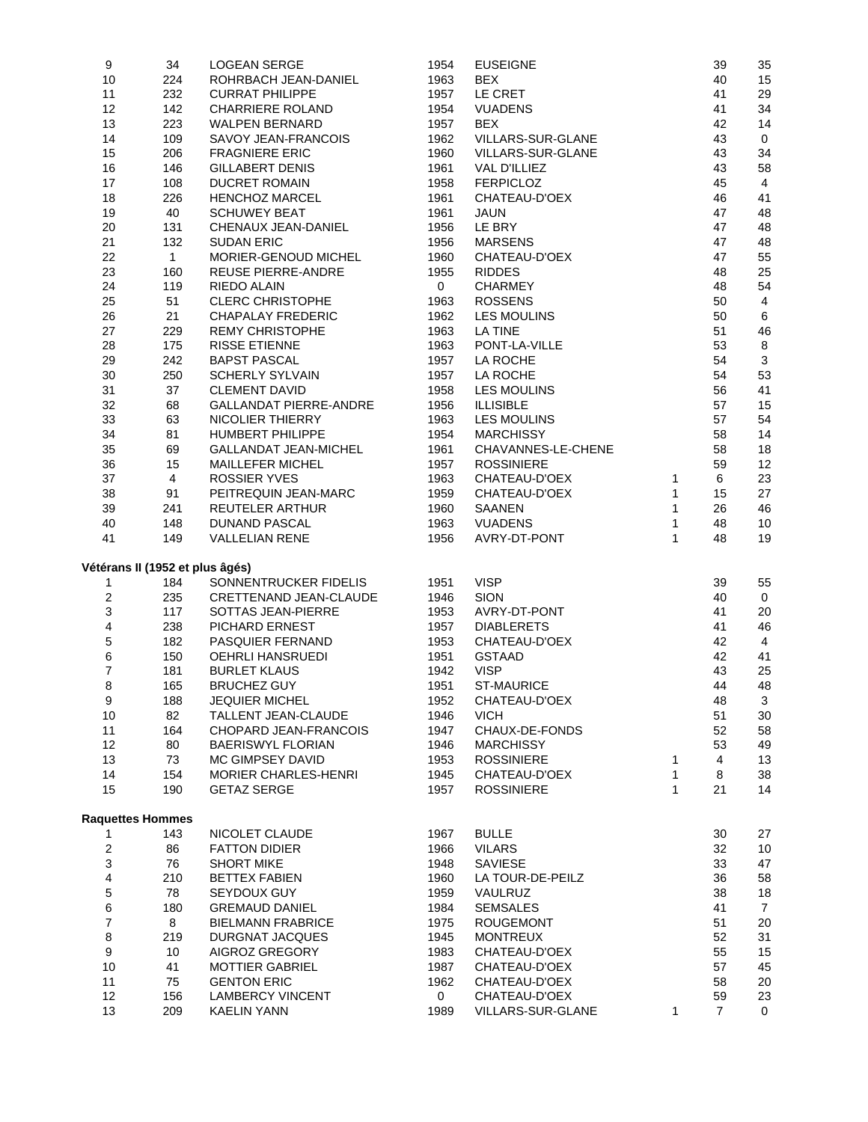| 9                       | 34                              | LOGEAN SERGE                  | 1954           | <b>EUSEIGNE</b>          |              | 39             | 35             |
|-------------------------|---------------------------------|-------------------------------|----------------|--------------------------|--------------|----------------|----------------|
| 10                      | 224                             | ROHRBACH JEAN-DANIEL          | 1963           | <b>BEX</b>               |              | 40             | 15             |
| 11                      | 232                             | <b>CURRAT PHILIPPE</b>        | 1957           | LE CRET                  |              | 41             | 29             |
| 12                      | 142                             | <b>CHARRIERE ROLAND</b>       | 1954           | <b>VUADENS</b>           |              | 41             | 34             |
| 13                      | 223                             | <b>WALPEN BERNARD</b>         | 1957           | <b>BEX</b>               |              | 42             | 14             |
| 14                      | 109                             | SAVOY JEAN-FRANCOIS           | 1962           | VILLARS-SUR-GLANE        |              | 43             | 0              |
|                         |                                 | <b>FRAGNIERE ERIC</b>         |                | <b>VILLARS-SUR-GLANE</b> |              |                |                |
| 15                      | 206                             |                               | 1960           |                          |              | 43             | 34             |
| 16                      | 146                             | <b>GILLABERT DENIS</b>        | 1961           | VAL D'ILLIEZ             |              | 43             | 58             |
| 17                      | 108                             | <b>DUCRET ROMAIN</b>          | 1958           | <b>FERPICLOZ</b>         |              | 45             | $\overline{4}$ |
| 18                      | 226                             | <b>HENCHOZ MARCEL</b>         | 1961           | CHATEAU-D'OEX            |              | 46             | 41             |
| 19                      | 40                              | <b>SCHUWEY BEAT</b>           | 1961           | <b>JAUN</b>              |              | 47             | 48             |
| 20                      | 131                             | CHENAUX JEAN-DANIEL           | 1956           | LE BRY                   |              | 47             | 48             |
| 21                      | 132                             | <b>SUDAN ERIC</b>             | 1956           | <b>MARSENS</b>           |              | 47             | 48             |
| 22                      | $\mathbf{1}$                    | MORIER-GENOUD MICHEL          | 1960           | CHATEAU-D'OEX            |              | 47             | 55             |
| 23                      | 160                             | <b>REUSE PIERRE-ANDRE</b>     | 1955           | <b>RIDDES</b>            |              | 48             | 25             |
| 24                      | 119                             | RIEDO ALAIN                   | $\overline{0}$ | <b>CHARMEY</b>           |              | 48             | 54             |
| 25                      | 51                              | <b>CLERC CHRISTOPHE</b>       | 1963           | <b>ROSSENS</b>           |              | 50             | 4              |
| 26                      | 21                              | <b>CHAPALAY FREDERIC</b>      | 1962           | <b>LES MOULINS</b>       |              | 50             | 6              |
|                         |                                 |                               |                |                          |              |                |                |
| 27                      | 229                             | <b>REMY CHRISTOPHE</b>        | 1963           | <b>LA TINE</b>           |              | 51             | 46             |
| 28                      | 175                             | <b>RISSE ETIENNE</b>          | 1963           | PONT-LA-VILLE            |              | 53             | $\bf 8$        |
| 29                      | 242                             | <b>BAPST PASCAL</b>           | 1957           | LA ROCHE                 |              | 54             | 3              |
| 30                      | 250                             | <b>SCHERLY SYLVAIN</b>        | 1957           | LA ROCHE                 |              | 54             | 53             |
| 31                      | 37                              | <b>CLEMENT DAVID</b>          | 1958           | <b>LES MOULINS</b>       |              | 56             | 41             |
| 32                      | 68                              | <b>GALLANDAT PIERRE-ANDRE</b> | 1956           | <b>ILLISIBLE</b>         |              | 57             | 15             |
| 33                      | 63                              | NICOLIER THIERRY              | 1963           | <b>LES MOULINS</b>       |              | 57             | 54             |
| 34                      | 81                              | <b>HUMBERT PHILIPPE</b>       | 1954           | <b>MARCHISSY</b>         |              | 58             | 14             |
| 35                      | 69                              | <b>GALLANDAT JEAN-MICHEL</b>  | 1961           | CHAVANNES-LE-CHENE       |              | 58             | 18             |
| 36                      | 15                              | MAILLEFER MICHEL              | 1957           | <b>ROSSINIERE</b>        |              | 59             | 12             |
| 37                      | 4                               | <b>ROSSIER YVES</b>           | 1963           | CHATEAU-D'OEX            | 1            | 6              | 23             |
| 38                      | 91                              | PEITREQUIN JEAN-MARC          | 1959           | CHATEAU-D'OEX            | $\mathbf{1}$ | 15             | 27             |
| 39                      | 241                             | <b>REUTELER ARTHUR</b>        | 1960           | SAANEN                   | 1            | 26             | 46             |
|                         |                                 |                               |                |                          |              |                |                |
| 40                      | 148                             | <b>DUNAND PASCAL</b>          | 1963           | <b>VUADENS</b>           | $\mathbf{1}$ | 48             | 10             |
| 41                      | 149                             | <b>VALLELIAN RENE</b>         | 1956           | AVRY-DT-PONT             | $\mathbf{1}$ | 48             | 19             |
|                         |                                 |                               |                |                          |              |                |                |
|                         | Vétérans II (1952 et plus âgés) |                               |                |                          |              |                |                |
| 1                       | 184                             | SONNENTRUCKER FIDELIS         | 1951           | <b>VISP</b>              |              | 39             | 55             |
| $\overline{c}$          | 235                             | CRETTENAND JEAN-CLAUDE        | 1946           | <b>SION</b>              |              | 40             | 0              |
| 3                       | 117                             | SOTTAS JEAN-PIERRE            | 1953           | AVRY-DT-PONT             |              | 41             | 20             |
| 4                       | 238                             | PICHARD ERNEST                | 1957           | <b>DIABLERETS</b>        |              | 41             | 46             |
| 5                       | 182                             | PASQUIER FERNAND              | 1953           | CHATEAU-D'OEX            |              | 42             | 4              |
| 6                       | 150                             | OEHRLI HANSRUEDI              | 1951           | <b>GSTAAD</b>            |              | 42             | 41             |
| $\overline{7}$          | 181                             | <b>BURLET KLAUS</b>           | 1942           | <b>VISP</b>              |              | 43             | 25             |
| 8                       | 165                             | <b>BRUCHEZ GUY</b>            | 1951           | <b>ST-MAURICE</b>        |              | 44             | 48             |
| 9                       | 188                             | <b>JEQUIER MICHEL</b>         | 1952           | CHATEAU-D'OEX            |              | 48             | 3              |
| 10                      | 82                              | TALLENT JEAN-CLAUDE           | 1946           | <b>VICH</b>              |              | 51             | 30             |
| 11                      | 164                             | CHOPARD JEAN-FRANCOIS         | 1947           | CHAUX-DE-FONDS           |              | 52             | 58             |
|                         |                                 |                               |                |                          |              |                |                |
| 12                      | 80                              | <b>BAERISWYL FLORIAN</b>      | 1946           | <b>MARCHISSY</b>         |              | 53             | 49             |
| 13                      | 73                              | MC GIMPSEY DAVID              | 1953           | <b>ROSSINIERE</b>        | 1            | $\overline{4}$ | 13             |
| 14                      | 154                             | <b>MORIER CHARLES-HENRI</b>   | 1945           | CHATEAU-D'OEX            | $\mathbf{1}$ | 8              | 38             |
| 15                      | 190                             | <b>GETAZ SERGE</b>            | 1957           | <b>ROSSINIERE</b>        | $\mathbf{1}$ | 21             | 14             |
|                         |                                 |                               |                |                          |              |                |                |
|                         | <b>Raquettes Hommes</b>         |                               |                |                          |              |                |                |
| 1                       | 143                             | NICOLET CLAUDE                | 1967           | <b>BULLE</b>             |              | 30             | 27             |
| $\overline{\mathbf{c}}$ | 86                              | <b>FATTON DIDIER</b>          | 1966           | <b>VILARS</b>            |              | 32             | 10             |
| 3                       | 76                              | <b>SHORT MIKE</b>             | 1948           | <b>SAVIESE</b>           |              | 33             | 47             |
| 4                       | 210                             | <b>BETTEX FABIEN</b>          | 1960           | LA TOUR-DE-PEILZ         |              | 36             | 58             |
| 5                       | 78                              | SEYDOUX GUY                   | 1959           | VAULRUZ                  |              | 38             | 18             |
| 6                       | 180                             | <b>GREMAUD DANIEL</b>         | 1984           | <b>SEMSALES</b>          |              | 41             | $\overline{7}$ |
| $\overline{7}$          | 8                               | <b>BIELMANN FRABRICE</b>      | 1975           | <b>ROUGEMONT</b>         |              | 51             | 20             |
| 8                       | 219                             | DURGNAT JACQUES               | 1945           | <b>MONTREUX</b>          |              | 52             | 31             |
| $\boldsymbol{9}$        | 10                              | AIGROZ GREGORY                | 1983           | CHATEAU-D'OEX            |              | 55             | 15             |
| 10                      | 41                              | <b>MOTTIER GABRIEL</b>        | 1987           | CHATEAU-D'OEX            |              | 57             | 45             |
| 11                      | 75                              | <b>GENTON ERIC</b>            | 1962           | CHATEAU-D'OEX            |              | 58             | 20             |
| 12                      | 156                             | <b>LAMBERCY VINCENT</b>       | $\mathbf{0}$   | CHATEAU-D'OEX            |              | 59             | 23             |
|                         |                                 |                               |                |                          |              | $\overline{7}$ |                |
| 13                      | 209                             | <b>KAELIN YANN</b>            | 1989           | VILLARS-SUR-GLANE        | $\mathbf{1}$ |                | 0              |